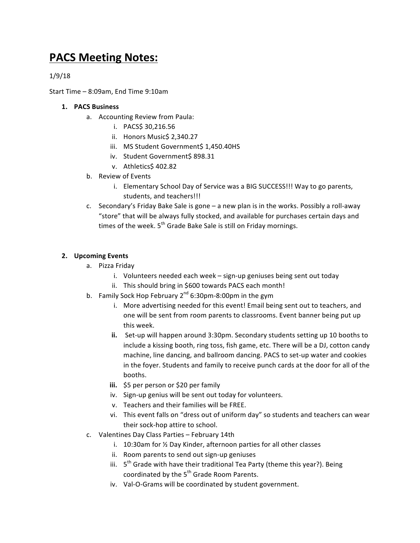## **PACS Meeting Notes:**

1/9/18

Start Time  $-$  8:09am, End Time  $9:10$ am

## **1. PACS Business**

- a. Accounting Review from Paula:
	- i. PACS\$ 30,216.56
	- ii. Honors Music\$ 2,340.27
	- iii. MS Student Government\$ 1,450.40HS
	- iv. Student Government\$ 898.31
	- v. Athletics\$ 402.82
- b. Review of Events
	- i. Elementary School Day of Service was a BIG SUCCESS!!! Way to go parents, students, and teachers!!!
- c. Secondary's Friday Bake Sale is gone  $-$  a new plan is in the works. Possibly a roll-away "store" that will be always fully stocked, and available for purchases certain days and times of the week.  $5<sup>th</sup>$  Grade Bake Sale is still on Friday mornings.

## **2. Upcoming Events**

- a. Pizza Friday
	- i. Volunteers needed each week sign-up geniuses being sent out today
	- ii. This should bring in \$600 towards PACS each month!
- b. Family Sock Hop February  $2^{nd}$  6:30pm-8:00pm in the gym
	- i. More advertising needed for this event! Email being sent out to teachers, and one will be sent from room parents to classrooms. Event banner being put up this week.
	- **ii.** Set-up will happen around 3:30pm. Secondary students setting up 10 booths to include a kissing booth, ring toss, fish game, etc. There will be a DJ, cotton candy machine, line dancing, and ballroom dancing. PACS to set-up water and cookies in the foyer. Students and family to receive punch cards at the door for all of the booths.
	- **iii.** \$5 per person or \$20 per family
	- iv. Sign-up genius will be sent out today for volunteers.
	- v. Teachers and their families will be FREE.
	- vi. This event falls on "dress out of uniform day" so students and teachers can wear their sock-hop attire to school.
- c. Valentines Day Class Parties February 14th
	- i.  $10:30$ am for  $\frac{1}{2}$  Day Kinder, afternoon parties for all other classes
	- ii. Room parents to send out sign-up geniuses
	- iii.  $5<sup>th</sup>$  Grade with have their traditional Tea Party (theme this year?). Being coordinated by the 5<sup>th</sup> Grade Room Parents.
	- iv. Val-O-Grams will be coordinated by student government.